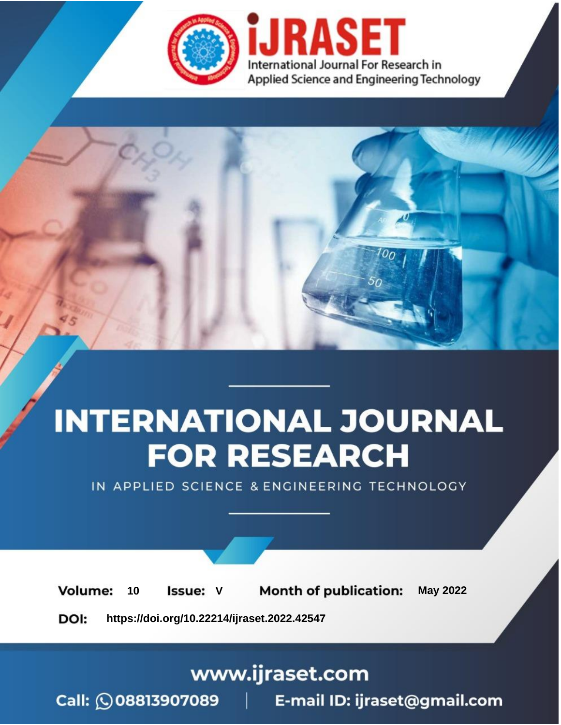

# **INTERNATIONAL JOURNAL FOR RESEARCH**

IN APPLIED SCIENCE & ENGINEERING TECHNOLOGY

Volume: **Month of publication: May 2022** 10 **Issue: V** 

DOI: https://doi.org/10.22214/ijraset.2022.42547

www.ijraset.com

Call: 008813907089 | E-mail ID: ijraset@gmail.com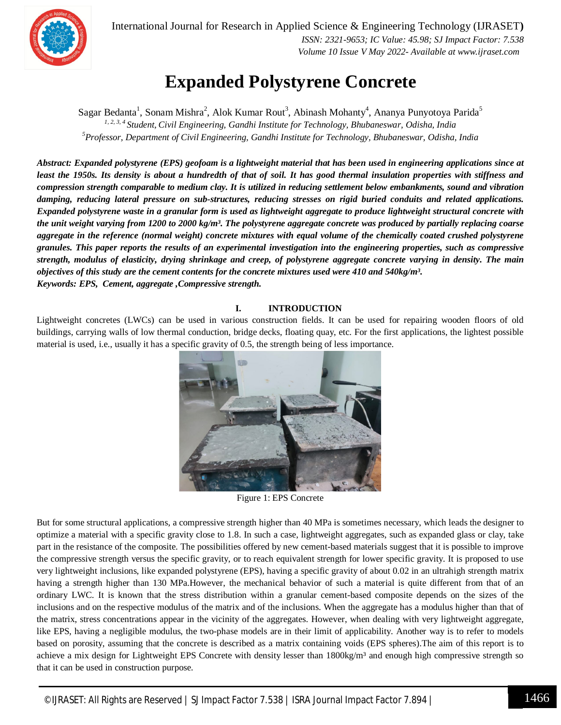

International Journal for Research in Applied Science & Engineering Technology (IJRASET**)**  *ISSN: 2321-9653; IC Value: 45.98; SJ Impact Factor: 7.538 Volume 10 Issue V May 2022- Available at www.ijraset.com*

### **Expanded Polystyrene Concrete**

Sagar Bedanta<sup>1</sup>, Sonam Mishra<sup>2</sup>, Alok Kumar Rout<sup>3</sup>, Abinash Mohanty<sup>4</sup>, Ananya Punyotoya Parida<sup>5</sup> *1, 2, 3, <sup>4</sup>Student, Civil Engineering, Gandhi Institute for Technology, Bhubaneswar, Odisha, India <sup>5</sup>Professor, Department of Civil Engineering, Gandhi Institute for Technology, Bhubaneswar, Odisha, India*

*Abstract: Expanded polystyrene (EPS) geofoam is a lightweight material that has been used in engineering applications since at least the 1950s. Its density is about a hundredth of that of soil. It has good thermal insulation properties with stiffness and compression strength comparable to medium clay. It is utilized in reducing settlement below embankments, sound and vibration damping, reducing lateral pressure on sub-structures, reducing stresses on rigid buried conduits and related applications. Expanded polystyrene waste in a granular form is used as lightweight aggregate to produce lightweight structural concrete with the unit weight varying from 1200 to 2000 kg/m³. The polystyrene aggregate concrete was produced by partially replacing coarse aggregate in the reference (normal weight) concrete mixtures with equal volume of the chemically coated crushed polystyrene granules. This paper reports the results of an experimental investigation into the engineering properties, such as compressive strength, modulus of elasticity, drying shrinkage and creep, of polystyrene aggregate concrete varying in density. The main objectives of this study are the cement contents for the concrete mixtures used were 410 and 540kg/m³. Keywords: EPS, Cement, aggregate ,Compressive strength.*

#### **I. INTRODUCTION**

Lightweight concretes (LWCs) can be used in various construction fields. It can be used for repairing wooden floors of old buildings, carrying walls of low thermal conduction, bridge decks, floating quay, etc. For the first applications, the lightest possible material is used, i.e., usually it has a specific gravity of 0.5, the strength being of less importance.



Figure 1: EPS Concrete

But for some structural applications, a compressive strength higher than 40 MPa is sometimes necessary, which leads the designer to optimize a material with a specific gravity close to 1.8. In such a case, lightweight aggregates, such as expanded glass or clay, take part in the resistance of the composite. The possibilities offered by new cement-based materials suggest that it is possible to improve the compressive strength versus the specific gravity, or to reach equivalent strength for lower specific gravity. It is proposed to use very lightweight inclusions, like expanded polystyrene (EPS), having a specific gravity of about 0.02 in an ultrahigh strength matrix having a strength higher than 130 MPa.However, the mechanical behavior of such a material is quite different from that of an ordinary LWC. It is known that the stress distribution within a granular cement-based composite depends on the sizes of the inclusions and on the respective modulus of the matrix and of the inclusions. When the aggregate has a modulus higher than that of the matrix, stress concentrations appear in the vicinity of the aggregates. However, when dealing with very lightweight aggregate, like EPS, having a negligible modulus, the two-phase models are in their limit of applicability. Another way is to refer to models based on porosity, assuming that the concrete is described as a matrix containing voids (EPS spheres).The aim of this report is to achieve a mix design for Lightweight EPS Concrete with density lesser than 1800kg/m<sup>3</sup> and enough high compressive strength so that it can be used in construction purpose.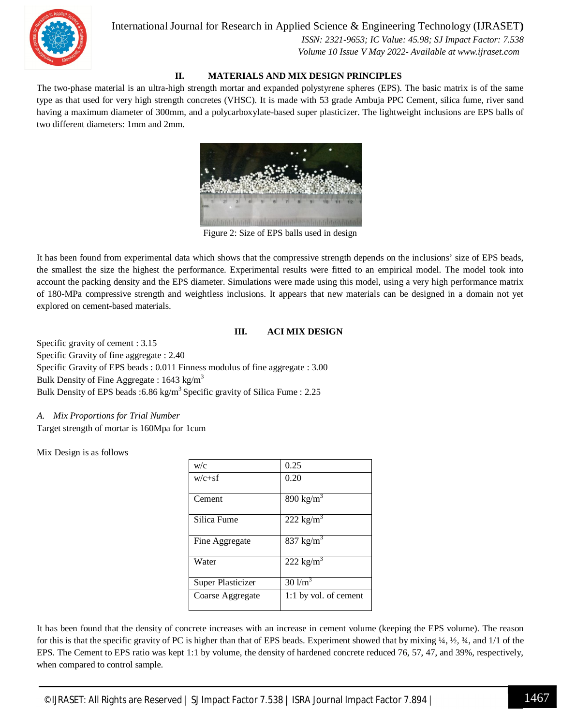International Journal for Research in Applied Science & Engineering Technology (IJRASET**)**



 *ISSN: 2321-9653; IC Value: 45.98; SJ Impact Factor: 7.538 Volume 10 Issue V May 2022- Available at www.ijraset.com*

#### **II. MATERIALS AND MIX DESIGN PRINCIPLES**

The two-phase material is an ultra-high strength mortar and expanded polystyrene spheres (EPS). The basic matrix is of the same type as that used for very high strength concretes (VHSC). It is made with 53 grade Ambuja PPC Cement, silica fume, river sand having a maximum diameter of 300mm, and a polycarboxylate-based super plasticizer. The lightweight inclusions are EPS balls of two different diameters: 1mm and 2mm.



Figure 2: Size of EPS balls used in design

It has been found from experimental data which shows that the compressive strength depends on the inclusions' size of EPS beads, the smallest the size the highest the performance. Experimental results were fitted to an empirical model. The model took into account the packing density and the EPS diameter. Simulations were made using this model, using a very high performance matrix of 180-MPa compressive strength and weightless inclusions. It appears that new materials can be designed in a domain not yet explored on cement-based materials.

#### **III. ACI MIX DESIGN**

Specific gravity of cement : 3.15 Specific Gravity of fine aggregate : 2.40 Specific Gravity of EPS beads : 0.011 Finness modulus of fine aggregate : 3.00 Bulk Density of Fine Aggregate :  $1643 \text{ kg/m}^3$ Bulk Density of EPS beads :6.86 kg/m<sup>3</sup> Specific gravity of Silica Fume : 2.25

*A. Mix Proportions for Trial Number* 

Target strength of mortar is 160Mpa for 1cum

Mix Design is as follows

| w/c               | 0.25                  |
|-------------------|-----------------------|
| $w/c + sf$        | 0.20                  |
| Cement            | 890 kg/ $m^3$         |
| Silica Fume       | 222 kg/ $m3$          |
| Fine Aggregate    | 837 kg/ $m^3$         |
| Water             | $222 \text{ kg/m}^3$  |
| Super Plasticizer | $30$ l/m <sup>3</sup> |
| Coarse Aggregate  | 1:1 by vol. of cement |

It has been found that the density of concrete increases with an increase in cement volume (keeping the EPS volume). The reason for this is that the specific gravity of PC is higher than that of EPS beads. Experiment showed that by mixing ¼, ½, ¾, and 1/1 of the EPS. The Cement to EPS ratio was kept 1:1 by volume, the density of hardened concrete reduced 76, 57, 47, and 39%, respectively, when compared to control sample.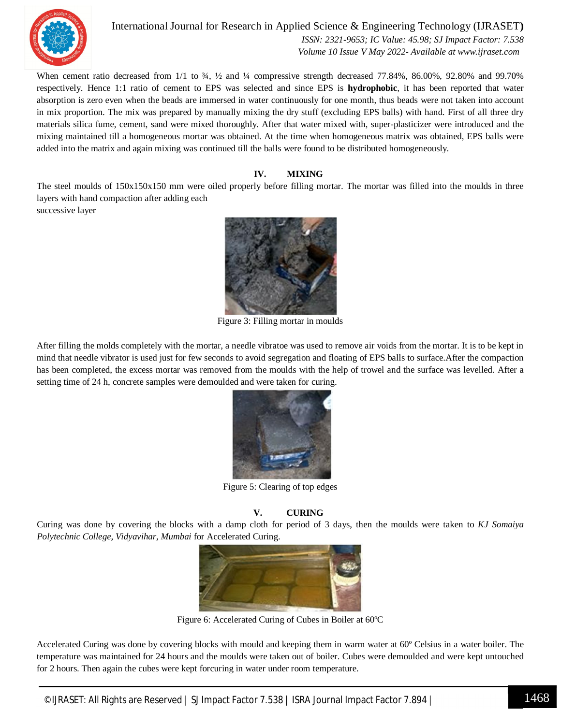

International Journal for Research in Applied Science & Engineering Technology (IJRASET**)**

 *ISSN: 2321-9653; IC Value: 45.98; SJ Impact Factor: 7.538 Volume 10 Issue V May 2022- Available at www.ijraset.com*

When cement ratio decreased from  $1/1$  to  $\frac{3}{4}$ ,  $\frac{1}{2}$  and  $\frac{1}{4}$  compressive strength decreased 77.84%, 86.00%, 92.80% and 99.70% respectively. Hence 1:1 ratio of cement to EPS was selected and since EPS is **hydrophobic**, it has been reported that water absorption is zero even when the beads are immersed in water continuously for one month, thus beads were not taken into account in mix proportion. The mix was prepared by manually mixing the dry stuff (excluding EPS balls) with hand. First of all three dry materials silica fume, cement, sand were mixed thoroughly. After that water mixed with, super-plasticizer were introduced and the mixing maintained till a homogeneous mortar was obtained. At the time when homogeneous matrix was obtained, EPS balls were added into the matrix and again mixing was continued till the balls were found to be distributed homogeneously.

#### **IV. MIXING**

The steel moulds of 150x150x150 mm were oiled properly before filling mortar. The mortar was filled into the moulds in three layers with hand compaction after adding each

successive layer



Figure 3: Filling mortar in moulds

After filling the molds completely with the mortar, a needle vibratoe was used to remove air voids from the mortar. It is to be kept in mind that needle vibrator is used just for few seconds to avoid segregation and floating of EPS balls to surface.After the compaction has been completed, the excess mortar was removed from the moulds with the help of trowel and the surface was levelled. After a setting time of 24 h, concrete samples were demoulded and were taken for curing.



Figure 5: Clearing of top edges

#### **V. CURING**

Curing was done by covering the blocks with a damp cloth for period of 3 days, then the moulds were taken to *KJ Somaiya Polytechnic College, Vidyavihar, Mumbai* for Accelerated Curing.



Figure 6: Accelerated Curing of Cubes in Boiler at 60ºC

Accelerated Curing was done by covering blocks with mould and keeping them in warm water at 60º Celsius in a water boiler. The temperature was maintained for 24 hours and the moulds were taken out of boiler. Cubes were demoulded and were kept untouched for 2 hours. Then again the cubes were kept forcuring in water under room temperature.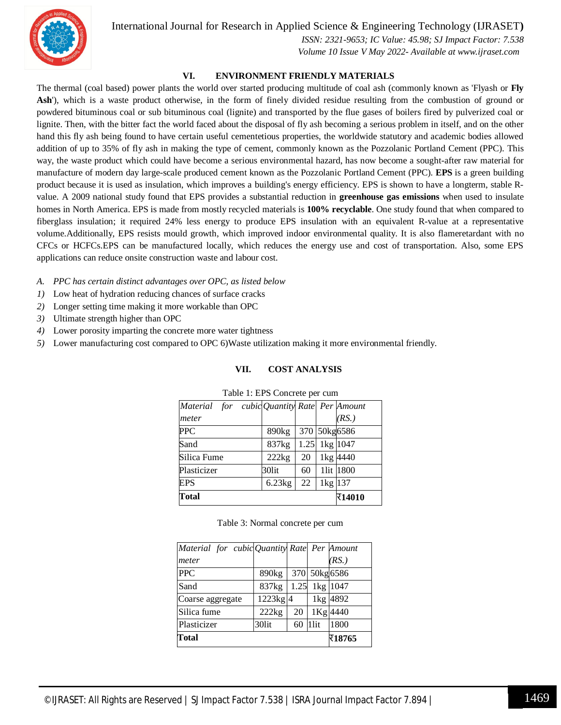International Journal for Research in Applied Science & Engineering Technology (IJRASET**)**



 *ISSN: 2321-9653; IC Value: 45.98; SJ Impact Factor: 7.538 Volume 10 Issue V May 2022- Available at www.ijraset.com*

#### **VI. ENVIRONMENT FRIENDLY MATERIALS**

The thermal (coal based) power plants the world over started producing multitude of coal ash (commonly known as 'Flyash or **Fly**  Ash<sup>'</sup>), which is a waste product otherwise, in the form of finely divided residue resulting from the combustion of ground or powdered bituminous coal or sub bituminous coal (lignite) and transported by the flue gases of boilers fired by pulverized coal or lignite. Then, with the bitter fact the world faced about the disposal of fly ash becoming a serious problem in itself, and on the other hand this fly ash being found to have certain useful cementetious properties, the worldwide statutory and academic bodies allowed addition of up to 35% of fly ash in making the type of cement, commonly known as the Pozzolanic Portland Cement (PPC). This way, the waste product which could have become a serious environmental hazard, has now become a sought-after raw material for manufacture of modern day large-scale produced cement known as the Pozzolanic Portland Cement (PPC). **EPS** is a green building product because it is used as insulation, which improves a building's energy efficiency. EPS is shown to have a longterm, stable Rvalue. A 2009 national study found that EPS provides a substantial reduction in **greenhouse gas emissions** when used to insulate homes in North America. EPS is made from mostly recycled materials is **100% recyclable**. One study found that when compared to fiberglass insulation; it required 24% less energy to produce EPS insulation with an equivalent R-value at a representative volume.Additionally, EPS resists mould growth, which improved indoor environmental quality. It is also flameretardant with no CFCs or HCFCs.EPS can be manufactured locally, which reduces the energy use and cost of transportation. Also, some EPS applications can reduce onsite construction waste and labour cost.

- *A. PPC has certain distinct advantages over OPC, as listed below*
- *1)* Low heat of hydration reducing chances of surface cracks
- *2)* Longer setting time making it more workable than OPC
- *3)* Ultimate strength higher than OPC
- *4)* Lower porosity imparting the concrete more water tightness
- *5)* Lower manufacturing cost compared to OPC 6)Waste utilization making it more environmental friendly.

#### **VII. COST ANALYSIS**

| ruore 1, 21 p conterete per cenn |    |         |                                                                              |  |  |  |
|----------------------------------|----|---------|------------------------------------------------------------------------------|--|--|--|
|                                  |    |         |                                                                              |  |  |  |
|                                  |    |         | (RS.)                                                                        |  |  |  |
| 890 <sub>kg</sub>                |    |         |                                                                              |  |  |  |
| 837kg                            |    |         |                                                                              |  |  |  |
| 222kg                            | 20 |         | 1kg 4440                                                                     |  |  |  |
| 30lit                            | 60 |         | 11it 1800                                                                    |  |  |  |
| 6.23kg                           | 22 | 1kg 137 |                                                                              |  |  |  |
|                                  |    |         | र14010                                                                       |  |  |  |
|                                  |    |         | Material for cubic Quantity Rate Per Amount<br>370 50kg6586<br>1.25 1kg 1047 |  |  |  |

#### Table 1: EPS Concrete per cum

Table 3: Normal concrete per cum

| Material for cubic Quantity Rate Per Amount |                   |      |      |               |
|---------------------------------------------|-------------------|------|------|---------------|
| meter                                       |                   |      |      | (RS.)         |
| <b>PPC</b>                                  | 890 <sub>kg</sub> |      |      | 370 50kg 6586 |
| Sand                                        | 837kg             | 1.25 |      | 1kg 1047      |
| Coarse aggregate                            | $1223$ kg $4$     |      |      | 1kg 4892      |
| Silica fume                                 | 222kg             | 20   |      | 1Kg 4440      |
| Plasticizer                                 | 30lit             | 60   | 1lit | 1800          |
| Total                                       |                   |      |      | र18765        |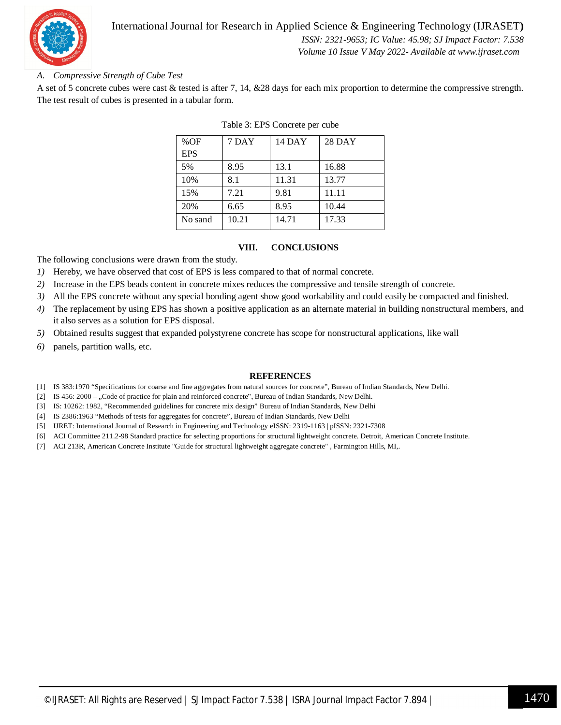

#### International Journal for Research in Applied Science & Engineering Technology (IJRASET**)**  *ISSN: 2321-9653; IC Value: 45.98; SJ Impact Factor: 7.538*

 *Volume 10 Issue V May 2022- Available at www.ijraset.com*

#### *A. Compressive Strength of Cube Test*

A set of 5 concrete cubes were cast & tested is after 7, 14, &28 days for each mix proportion to determine the compressive strength. The test result of cubes is presented in a tabular form.

| %OF        | 7 DAY | <b>14 DAY</b> | <b>28 DAY</b> |
|------------|-------|---------------|---------------|
| <b>EPS</b> |       |               |               |
| 5%         | 8.95  | 13.1          | 16.88         |
| 10%        | 8.1   | 11.31         | 13.77         |
| 15%        | 7.21  | 9.81          | 11.11         |
| 20%        | 6.65  | 8.95          | 10.44         |
| No sand    | 10.21 | 14.71         | 17.33         |

#### Table 3: EPS Concrete per cube

#### **VIII. CONCLUSIONS**

The following conclusions were drawn from the study.

- *1)* Hereby, we have observed that cost of EPS is less compared to that of normal concrete.
- *2)* Increase in the EPS beads content in concrete mixes reduces the compressive and tensile strength of concrete.
- *3)* All the EPS concrete without any special bonding agent show good workability and could easily be compacted and finished.
- *4)* The replacement by using EPS has shown a positive application as an alternate material in building nonstructural members, and it also serves as a solution for EPS disposal.
- *5)* Obtained results suggest that expanded polystyrene concrete has scope for nonstructural applications, like wall
- *6)* panels, partition walls, etc.

#### **REFERENCES**

- [1] IS 383:1970 "Specifications for coarse and fine aggregates from natural sources for concrete", Bureau of Indian Standards, New Delhi.
- [2] IS 456: 2000 "Code of practice for plain and reinforced concrete", Bureau of Indian Standards, New Delhi.
- [3] IS: 10262: 1982, "Recommended guidelines for concrete mix design" Bureau of Indian Standards, New Delhi
- [4] IS 2386:1963 "Methods of tests for aggregates for concrete", Bureau of Indian Standards, New Delhi
- [5] IJRET: International Journal of Research in Engineering and Technology eISSN: 2319-1163 | pISSN: 2321-7308
- [6] ACI Committee 211.2-98 Standard practice for selecting proportions for structural lightweight concrete. Detroit, American Concrete Institute.
- [7] ACI 213R, American Concrete Institute "Guide for structural lightweight aggregate concrete" , Farmington Hills, MI,.